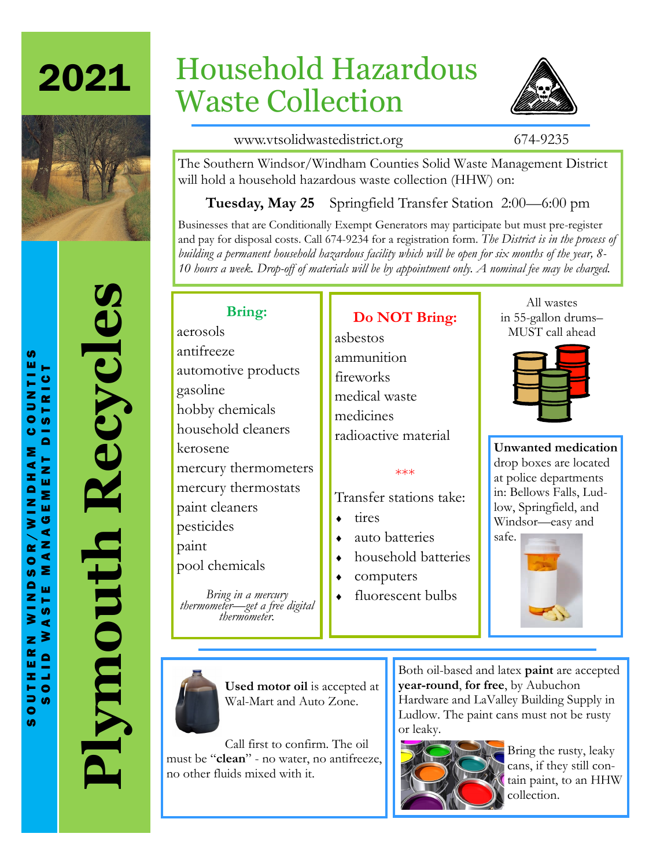



# **Plymouth Recycles** Recycles Plymouth

# Household Hazardous Waste Collection



www.vtsolidwastedistrict.org 674-9235

The Southern Windsor/Windham Counties Solid Waste Management District will hold a household hazardous waste collection (HHW) on:

**Tuesday, May 25** Springfield Transfer Station 2:00—6:00 pm

Businesses that are Conditionally Exempt Generators may participate but must pre-register and pay for disposal costs. Call 674-9234 for a registration form. *The District is in the process of building a permanent household hazardous facility which will be open for six months of the year, 8- 10 hours a week. Drop-off of materials will be by appointment only. A nominal fee may be charged.*

# **Bring:**

aerosols antifreeze automotive products gasoline hobby chemicals household cleaners kerosene mercury thermometers mercury thermostats paint cleaners pesticides paint pool chemicals

*Bring in a mercury thermometer—get a free digital thermometer.*

**Do NOT Bring:**

asbestos ammunition fireworks medical waste medicines radioactive material

### \*\*\*

Transfer stations take:

- $\bullet$  tires
- auto batteries
- household batteries
- computers
- fluorescent bulbs

All wastes in 55-gallon drums– MUST call ahead



**Unwanted medication**  drop boxes are located at police departments in: Bellows Falls, Ludlow, Springfield, and Windsor—easy and safe.





**Used motor oil** is accepted at Wal-Mart and Auto Zone.

Call first to confirm. The oil must be "**clean**" - no water, no antifreeze, no other fluids mixed with it.

Both oil-based and latex **paint** are accepted **year-round**, **for free**, by Aubuchon Hardware and LaValley Building Supply in Ludlow. The paint cans must not be rusty or leaky.



Bring the rusty, leaky cans, if they still contain paint, to an HHW collection.